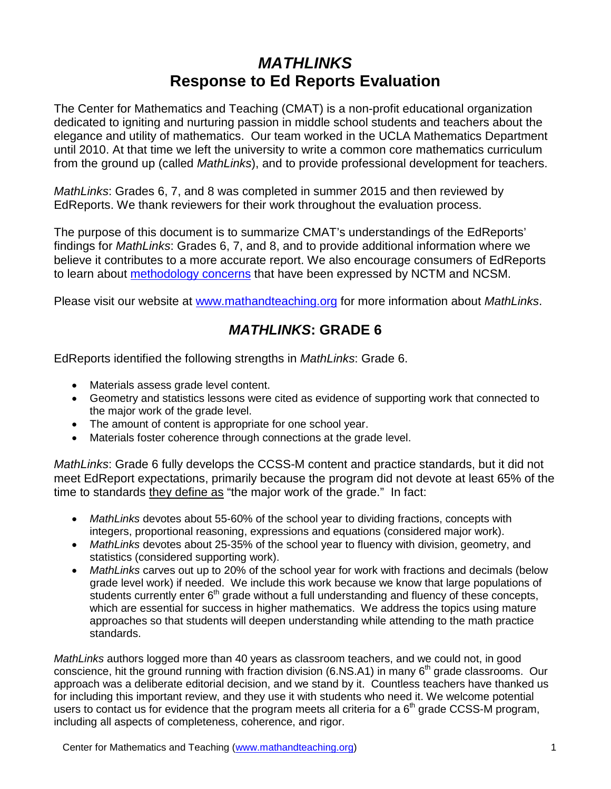## *MATHLINKS* **Response to Ed Reports Evaluation**

The Center for Mathematics and Teaching (CMAT) is a non-profit educational organization dedicated to igniting and nurturing passion in middle school students and teachers about the elegance and utility of mathematics. Our team worked in the UCLA Mathematics Department until 2010. At that time we left the university to write a common core mathematics curriculum from the ground up (called *MathLinks*), and to provide professional development for teachers.

*MathLinks*: Grades 6, 7, and 8 was completed in summer 2015 and then reviewed by EdReports. We thank reviewers for their work throughout the evaluation process.

The purpose of this document is to summarize CMAT's understandings of the EdReports' findings for *MathLinks*: Grades 6, 7, and 8, and to provide additional information where we believe it contributes to a more accurate report. We also encourage consumers of EdReports to learn about [methodology concerns](https://www.mathedleadership.org/docs/ccss/EdReports%20Open%20Letter%20NCTM%20NCSM%20May%2020%202015.pdf) that have been expressed by NCTM and NCSM.

Please visit our website at [www.mathandteaching.org](http://www.mathandteaching.org/) for more information about *MathLinks*.

## *MATHLINKS***: GRADE 6**

EdReports identified the following strengths in *MathLinks*: Grade 6.

- Materials assess grade level content.
- Geometry and statistics lessons were cited as evidence of supporting work that connected to the major work of the grade level.
- The amount of content is appropriate for one school year.
- Materials foster coherence through connections at the grade level.

*MathLinks*: Grade 6 fully develops the CCSS-M content and practice standards, but it did not meet EdReport expectations, primarily because the program did not devote at least 65% of the time to standards they define as "the major work of the grade." In fact:

- *MathLinks* devotes about 55-60% of the school year to dividing fractions, concepts with integers, proportional reasoning, expressions and equations (considered major work).
- *MathLinks* devotes about 25-35% of the school year to fluency with division, geometry, and statistics (considered supporting work).
- *MathLinks* carves out up to 20% of the school year for work with fractions and decimals (below grade level work) if needed. We include this work because we know that large populations of students currently enter  $6<sup>th</sup>$  grade without a full understanding and fluency of these concepts, which are essential for success in higher mathematics. We address the topics using mature approaches so that students will deepen understanding while attending to the math practice standards.

*MathLinks* authors logged more than 40 years as classroom teachers, and we could not, in good conscience, hit the ground running with fraction division (6.NS.A1) in many  $6<sup>th</sup>$  grade classrooms. Our approach was a deliberate editorial decision, and we stand by it. Countless teachers have thanked us for including this important review, and they use it with students who need it. We welcome potential users to contact us for evidence that the program meets all criteria for a  $6<sup>th</sup>$  grade CCSS-M program, including all aspects of completeness, coherence, and rigor.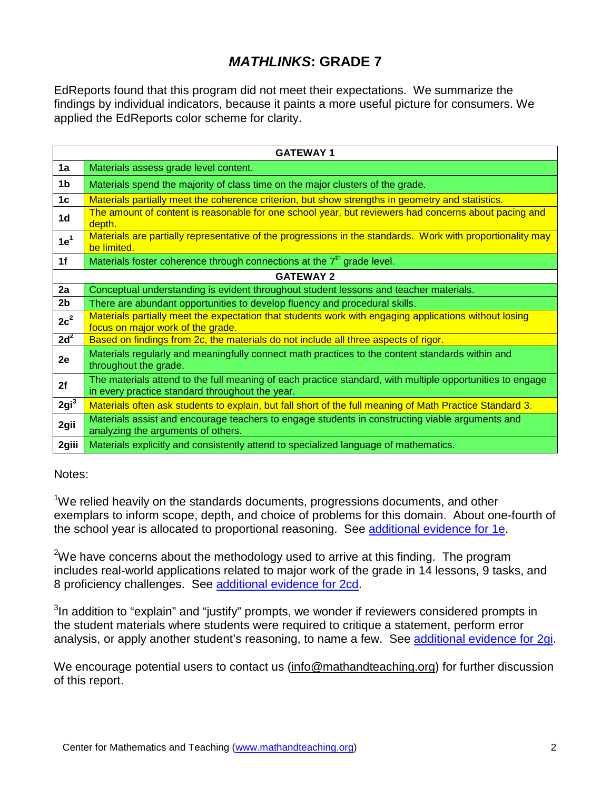## *MATHLINKS***: GRADE 7**

EdReports found that this program did not meet their expectations. We summarize the findings by individual indicators, because it paints a more useful picture for consumers. We applied the EdReports color scheme for clarity.

| <b>GATEWAY1</b>  |                                                                                                                                                              |
|------------------|--------------------------------------------------------------------------------------------------------------------------------------------------------------|
| 1a               | Materials assess grade level content.                                                                                                                        |
| 1b               | Materials spend the majority of class time on the major clusters of the grade.                                                                               |
| 1 <sub>c</sub>   | Materials partially meet the coherence criterion, but show strengths in geometry and statistics.                                                             |
| 1 <sub>d</sub>   | The amount of content is reasonable for one school year, but reviewers had concerns about pacing and<br>depth.                                               |
| 1e <sup>1</sup>  | Materials are partially representative of the progressions in the standards. Work with proportionality may<br>be limited.                                    |
| 1f               | Materials foster coherence through connections at the 7 <sup>th</sup> grade level.                                                                           |
| <b>GATEWAY 2</b> |                                                                                                                                                              |
| 2a               | Conceptual understanding is evident throughout student lessons and teacher materials.                                                                        |
| 2b               | There are abundant opportunities to develop fluency and procedural skills.                                                                                   |
| $2c^2$           | Materials partially meet the expectation that students work with engaging applications without losing<br>focus on major work of the grade.                   |
| $2d^2$           | Based on findings from 2c, the materials do not include all three aspects of rigor.                                                                          |
| 2e               | Materials regularly and meaningfully connect math practices to the content standards within and<br>throughout the grade.                                     |
| 2f               | The materials attend to the full meaning of each practice standard, with multiple opportunities to engage<br>in every practice standard throughout the year. |
| 2gi <sup>3</sup> | Materials often ask students to explain, but fall short of the full meaning of Math Practice Standard 3.                                                     |
| 2gii             | Materials assist and encourage teachers to engage students in constructing viable arguments and<br>analyzing the arguments of others.                        |
| 2giii            | Materials explicitly and consistently attend to specialized language of mathematics.                                                                         |

Notes:

<sup>1</sup>We relied heavily on the standards documents, progressions documents, and other exemplars to inform scope, depth, and choice of problems for this domain. About one-fourth of the school year is allocated to proportional reasoning. See [additional evidence for 1e.](http://mathandteaching.org/CMAT/updates-10-14-15/Ed%20Reports/Grade%207%20-1e.pdf)

 $2$ We have concerns about the methodology used to arrive at this finding. The program includes real-world applications related to major work of the grade in 14 lessons, 9 tasks, and 8 proficiency challenges. See [additional evidence](http://mathandteaching.org/CMAT/updates-10-14-15/Ed%20Reports/Grade%207%20-2cd.pdf) for 2cd.

<sup>3</sup>In addition to "explain" and "justify" prompts, we wonder if reviewers considered prompts in the student materials where students were required to critique a statement, perform error analysis, or apply another student's reasoning, to name a few. See [additional evidence](http://mathandteaching.org/CMAT/updates-10-14-15/Ed%20Reports/Grade%207%20-2gi.pdf) for 2gi.

We encourage potential users to contact us [\(info@mathandteaching.org\)](mailto:info@mathandteaching.org) for further discussion of this report.